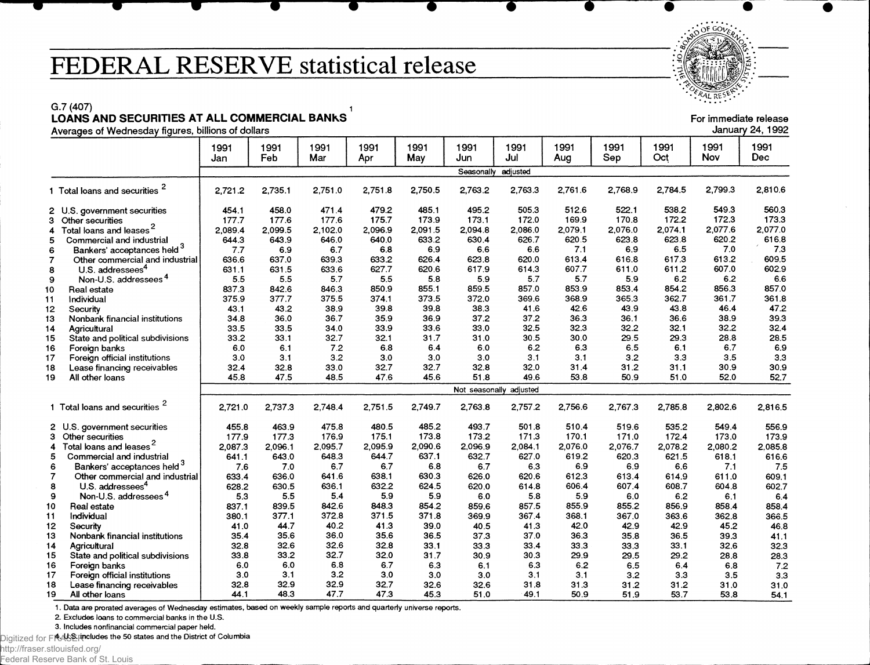## **FEDERAL RESERVE statistical release**

G.7 (407)  $\qquad \qquad$  1 LOANS AND SECURITIES AT ALL COMMERCIAL BANKS For immediate release of the state of the state of the state release

| 71101agoo of 110anooaa                                  |             |             |             |             |             |             |                         |             |              |             |             |              |
|---------------------------------------------------------|-------------|-------------|-------------|-------------|-------------|-------------|-------------------------|-------------|--------------|-------------|-------------|--------------|
|                                                         | 1991<br>Jan | 1991<br>Feb | 1991<br>Mar | 1991<br>Apr | 1991<br>May | 1991<br>Jun | 1991<br>Jul             | 1991<br>Aug | 1991<br>Sep  | 1991<br>Oct | 1991<br>Nov | 1991<br>Dec  |
|                                                         |             |             |             |             |             | Seasonally  | adjusted                |             |              |             |             |              |
| 1 Total loans and securities <sup>2</sup>               | 2,721.2     | 2,735.1     | 2,751.0     | 2,751.8     | 2,750.5     | 2,763.2     | 2,763.3                 | 2,761.6     | 2,768.9      | 2,784.5     | 2.799.3     | 2,810.6      |
| 2 U.S. government securities                            | 454.1       | 458.0       | 471.4       | 479.2       | 485.1       | 495.2       | 505.3                   | 512.6       | 522.1        | 538.2       | 549.3       | 560.3        |
| 3<br>Other securities                                   | 177.7       | 177.6       | 177.6       | 175.7       | 173.9       | 173.1       | 172.0                   | 169.9       | 170.8        | 172.2       | 172.3       | 173.3        |
| Total loans and leases <sup>2</sup><br>4                | 2.089.4     | 2.099.5     | 2,102.0     | 2,096.9     | 2,091.5     | 2.094.8     | 2,086.0                 | 2,079.1     | 2,076.0      | 2,074.1     | 2,077.6     | 2,077.0      |
| 5<br>Commercial and industrial                          | 644.3       | 643.9       | 646.0       | 640.0       | 633.2       | 630.4       | 626.7                   | 620.5       | 623.8        | 623.8       | 620.2       | 616.8        |
| Bankers' acceptances held <sup>3</sup><br>6             | 7.7         | 6.9         | 6.7         | 6.8         | 6.9         | 6.6         | 6.6                     | 7.1         | 6.9          | 6.5         | 7.0         | 7.3          |
| $\overline{7}$<br>Other commercial and industrial       | 636.6       | 637.0       | 639.3       | 633.2       | 626.4       | 623.8       | 620.0                   | 613.4       | 616.8        | 617.3       | 613.2       | 609.5        |
| U.S. addressees <sup>4</sup><br>8                       | 631.1       | 631.5       | 633.6       | 627.7       | 620.6       | 617.9       | 614.3                   | 607.7       | 611.0        | 611.2       | 607.0       | 602.9        |
| Non-U.S. addressees <sup>4</sup><br>9                   | 5.5         | 5.5         | 5.7         | 5.5         | 5.8         | 5.9         | 5.7                     | 5.7         | 5.9          | 6.2         | 6.2         | 6.6          |
| Real estate<br>10                                       | 837.3       | 842.6       | 846.3       | 850.9       | 855.1       | 859.5       | 857.0                   | 853.9       | 853.4        | 854.2       | 856.3       | 857.0        |
| 11<br>Individual                                        | 375.9       | 377.7       | 375.5       | 374.1       | 373.5       | 372.0       | 369.6                   | 368.9       | 365.3        | 362.7       | 361.7       | 361.8        |
| 12<br>Security                                          | 43.1        | 43.2        | 38.9        | 39.8        | 39.8        | 38.3        | 41.6                    | 42.6        | 43.9         | 43.8        | 46.4        | 47.2         |
| Nonbank financial institutions<br>13                    | 34.8        | 36.0        | 36.7        | 35.9        | 36.9        | 37.2        | 37.2                    | 36.3        | 36.1         | 36.6        | 38.9        | 39.3         |
| 14<br>Agricultural                                      | 33.5        | 33.5        | 34.0        | 33.9        | 33.6        | 33.0        | 32.5                    | 32.3        | 32.2         | 32.1        | 32.2        | 32.4         |
| 15<br>State and political subdivisions                  | 33.2        | 33.1        | 32.7        | 32.1        | 31.7        | 31.0        | 30.5                    | 30.0        | 29.5         | 29.3        | 28.8        | 28.5         |
| Foreign banks<br>16                                     | 6.0         | 6.1         | 7.2         | 68          | 6.4         | 6.0         | 6.2                     | 6.3         | 6.5          | 6.1         | 6.7         | 6.9          |
| 17<br>Foreign official institutions                     | 3.0         | 3.1         | 3.2         | 3.0         | 3.0         | 3.0         | 3.1                     | 3.1         | 3.2          | 3.3         | 3.5         | 3.3          |
| 18<br>Lease financing receivables                       | 32.4        | 32.8        | 33.0        | 32.7        | 32.7        | 32.8        | 32.0                    | 31.4        | 31.2         | 31.1        | 30.9        | 30,9         |
| 19<br>All other loans                                   | 45.8        | 47.5        | 48.5        | 47.6        | 45.6        | 51.8        | 49.6                    | 53.8        | 50.9         | 51.0        | 52.0        | 52.7         |
|                                                         |             |             |             |             |             |             |                         |             |              |             |             |              |
|                                                         |             |             |             |             |             |             | Not seasonally adjusted |             |              |             |             |              |
| 1 Total loans and securities <sup>2</sup>               | 2,721.0     | 2,737.3     | 2,748.4     | 2.751.5     | 2,749.7     | 2,763.8     | 2,757.2                 | 2,756.6     | 2,767.3      | 2,785.8     | 2,802.6     | 2,816.5      |
| 2 U.S. government securities                            | 455.8       | 463.9       | 475.8       | 480.5       | 485.2       | 493.7       | 501.8                   | 510.4       | 519.6        | 535.2       | 549.4       | 556.9        |
| 3 Other securities                                      | 177.9       | 177.3       | 176.9       | 175.1       | 173.8       | 173.2       | 171.3                   | 170.1       | 171.0        | 172.4       | 173.0       | 173.9        |
| Total loans and leases <sup>2</sup><br>4                | 2,087.3     | 2,096.1     | 2.095.7     | 2,095.9     | 2,090.6     | 2,096.9     | 2,084.1                 | 2,076.0     | 2,076.7      | 2,078.2     | 2,080.2     | 2,085.8      |
| 5<br>Commercial and industrial                          | 641.1       | 643.0       | 648.3       | 644.7       | 637.1       | 632.7       | 627.0                   | 619.2       | 620.3        | 621.5       | 618.1       | 616.6        |
| Bankers' acceptances held 3<br>6                        | 7.6         | 7.0         | 6.7         | 6.7         | 6.8         | 6.7         | 6.3                     | 6.9         | 6.9          | 6.6         | 7.1         | 7.5          |
| $\overline{7}$<br>Other commercial and industrial       | 633.4       | 636.0       | 641.6       | 638.1       | 630.3       | 626.0       | 620.6                   | 612.3       | 613.4        | 614.9       | 611.0       | 609.1        |
| 8<br>U.S. addressees <sup>4</sup>                       | 628.2       | 630.5       | 636.1       | 632.2       | 624.5       | 620.0       | 614.8                   | 606.4       | 607.4        | 608.7       | 604.8       | 602.7        |
| 9<br>Non-U.S. addressees <sup>4</sup>                   | 5.3         | 5.5         | 5.4         | 5.9         | 5.9         | 6.0         | 5.8                     | 5.9         | 6.0          | 6.2         | 6.1         | 6.4          |
| 10<br>Real estate                                       | 837.1       | 839.5       | 842.6       | 848.3       | 854.2       | 859.6       | 857.5                   | 855.9       | 855.2        | 856.9       | 858.4       | 858.4        |
| Individual<br>11                                        | 380.1       | 377.1       | 372.8       | 371.5       | 371.8       | 369.9       | 367.4                   | 368.1       | 367.0        | 363.6       | 362.8       | 366.5        |
| 12<br>Security                                          | 41.0        | 44.7        | 40.2        | 41.3        | 39.0        | 40.5        | 41.3                    | 42.0        | 42.9         | 42.9        | 45.2        | 46.8         |
| 13<br>Nonbank financial institutions                    | 35.4        | 35.6        | 36.0        | 35.6        | 36.5        | 37.3        | 37.0                    | 36.3        | 35.8         | 36.5        | 39.3        | 41.1         |
| 14<br>Agricultural                                      | 32.8        | 32.6        | 32.6        | 32.8        | 33.1        | 33.3        | 33.4                    | 33.3        | 33.3         | 33.1        | 32.6        | 32.3         |
| 15                                                      | 33.8        | 33.2        | 32.7        | 32.0        | 31.7        | 30.9        | 30.3                    | 29.9        | 29.5         | 29.2        | 28.8        |              |
| State and political subdivisions<br>16<br>Foreign banks | 6.0         | 6.0         | 6.8         | 6.7         | 6.3         | 6.1         | 6.3                     | 6.2         | 6.5          | 6.4         | 6.8         | 28.3         |
| 17                                                      | 3.0         | 3.1         | 3.2         | 3.0         | 3.0         | 3.0         | 3.1                     | 3.1         | 3.2          | 3.3         | 3.5         | 7.2          |
| Foreign official institutions<br>18                     | 32.8        | 32.9        | 32.9        | 32.7        | 32.6        | 32.6        | 31.8                    | 31.3        |              | 31.2        | 31.0        | 3.3          |
| Lease financing receivables<br>19                       | 44.1        | 48.3        | 47.7        | 47.3        | 45.3        | 51.0        | 49.1                    | 50.9        | 31.2<br>51.9 | 53.7        | 53.8        | 31.0<br>54.1 |
| All other loans                                         |             |             |             |             |             |             |                         |             |              |             |             |              |

1. Data are prorated averages of Wednesday estimates, based on weekly sample reports and quarterly universe reports.

2. Excludes loans to commercial banks in the U.S.

3. Includes nonfinancial commercial paper held.

Digitized for FRASER includes the 50 states and the District of Columbia

http://fraser.stlouisfed.org/ Federal Reserve Bank of St. Louis



January 24, 1992

 $-89$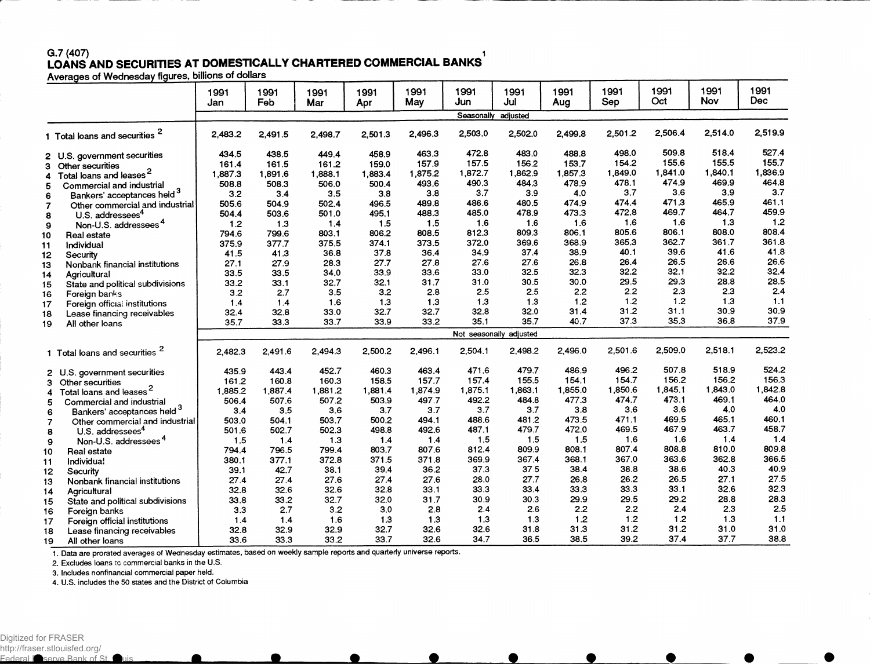## G.7 (407) 1 LOANS AND SECURITIES AT DOMESTICALLY CHARTERED COMMERCIAL BANKS

|                       |                                           | 1991<br>Jan | 1991<br>Feb | 1991<br>Mar | 1991<br>Apr | 1991<br>May | 1991<br>Jun | 1991<br>Jul             | 1991<br>Aug | 1991<br>Sep | 1991<br>Oct | 1991<br><b>Nov</b> | 1991<br><b>Dec</b> |
|-----------------------|-------------------------------------------|-------------|-------------|-------------|-------------|-------------|-------------|-------------------------|-------------|-------------|-------------|--------------------|--------------------|
|                       |                                           |             |             |             |             |             | Seasonally  | adjusted                |             |             |             |                    |                    |
|                       | 1 Total loans and securities <sup>2</sup> | 2,483.2     | 2,491.5     | 2,498.7     | 2,501.3     | 2,496.3     | 2,503.0     | 2,502.0                 | 2,499.8     | 2,501.2     | 2,506.4     | 2,514.0            | 2,519.9            |
|                       | 2 U.S. government securities              | 434.5       | 438.5       | 449.4       | 458.9       | 463.3       | 472.8       | 483.0                   | 488.8       | 498.0       | 509.8       | 518.4              | 527.4              |
| Other securities<br>З |                                           | 161.4       | 161.5       | 161.2       | 159.0       | 157.9       | 157.5       | 156.2                   | 153.7       | 154.2       | 155.6       | 155.5              | 155.7              |
| 4                     | Total loans and leases <sup>2</sup>       | 1,887.3     | 1,891.6     | 1,888.1     | 1.883.4     | 1,875.2     | 1,872.7     | 1,862.9                 | 1,857.3     | 1,849.0     | 1,841.0     | 1,840.1            | 1,836.9            |
| 5                     | Commercial and industrial                 | 508.8       | 508.3       | 506.0       | 500.4       | 493.6       | 490.3       | 484.3                   | 478.9       | 478.1       | 474.9       | 469.9              | 464.8              |
| 6                     | Bankers' acceptances held 3               | 3.2         | 3.4         | 3.5         | 3.8         | 3.8         | 3.7         | 3.9                     | 4.0         | 3.7         | 3.6         | 3.9                | 3.7                |
| $\overline{7}$        | Other commercial and industrial           | 505.6       | 504.9       | 502.4       | 496.5       | 489.8       | 486.6       | 480.5                   | 474.9       | 474.4       | 471.3       | 465.9              | 461.1              |
| 8                     | U.S. addressees <sup>4</sup>              | 504.4       | 503.6       | 501.0       | 495.1       | 488.3       | 485.0       | 478.9                   | 473.3       | 472.8       | 469.7       | 464.7              | 459.9              |
| 9                     | Non-U.S. addressees <sup>4</sup>          | 1.2         | 1.3         | 1.4         | 1.5         | 1.5         | 1.6         | 1.6                     | 1.6         | 1.6         | 1.6         | 1.3                | 1.2                |
| 10<br>Real estate     |                                           | 794.6       | 799.6       | 803.1       | 806.2       | 808.5       | 812.3       | 809.3                   | 806.1       | 805.6       | 806.1       | 808.0              | 808.4              |
| Individual<br>11      |                                           | 375.9       | 377.7       | 375.5       | 374.1       | 373.5       | 372.0       | 369.6                   | 368.9       | 365.3       | 362.7       | 361.7              | 361.8              |
| 12<br>Security        |                                           | 41.5        | 41.3        | 36.8        | 37.8        | 36.4        | 34.9        | 37.4                    | 38.9        | 40.1        | 39.6        | 41.6               | 41.8               |
| 13                    | Nonbank financial institutions            | 27.1        | 27.9        | 28.3        | 27.7        | 27.8        | 27.6        | 27.6                    | 26.8        | 26.4        | 26.5        | 26.6               | 26.6               |
| Agricultural<br>14    |                                           | 33.5        | 33.5        | 34.0        | 33.9        | 33.6        | 33.0        | 32.5                    | 32.3        | 32.2        | 32.1        | 32.2               | 32.4               |
| 15                    | State and political subdivisions          | 33.2        | 33.1        | 32.7        | 32.1        | 31.7        | 31.0        | 30.5                    | 30.0        | 29.5        | 29.3        | 28.8               | 28.5               |
| Foreign banks<br>16   |                                           | 3.2         | 2.7         | 3.5         | 3.2         | 2.8         | 2.5         | 2.5                     | 2.2         | 2.2         | 2.3         | 2.3                | 2.4                |
| 17                    | Foreign official institutions             | 1.4         | 1.4         | 1.6         | 1.3         | 1.3         | 1,3         | 1.3                     | 1.2         | 1.2         | 1.2         | 1.3                | 1.1                |
| 18                    | Lease financing receivables               | 32.4        | 32.8        | 33.0        | 32.7        | 32.7        | 32.8        | 32.0                    | 31.4        | 31.2        | 31.1        | 30.9               | 30.9               |
| 19<br>All other loans |                                           | 35.7        | 33.3        | 33.7        | 33.9        | 33.2        | 35.1        | 35.7                    | 40.7        | 37.3        | 35.3        | 36.8               | 37.9               |
|                       |                                           |             |             |             |             |             |             | Not seasonally adjusted |             |             |             |                    |                    |
|                       | 1 Total loans and securities              | 2,482.3     | 2.491.6     | 2.494.3     | 2,500.2     | 2.496.1     | 2,504.1     | 2.498.2                 | 2,496.0     | 2.501.6     | 2,509.0     | 2,518.1            | 2,523.2            |
|                       | 2 U.S. government securities              | 435.9       | 443.4       | 452.7       | 460.3       | 463.4       | 471.6       | 479.7                   | 486.9       | 496.2       | 507.8       | 518.9              | 524.2              |
| 3 Other securities    |                                           | 161.2       | 160.8       | 160.3       | 158.5       | 157.7       | 157.4       | 155.5                   | 154.1       | 154.7       | 156.2       | 156.2              | 156.3              |
| 4                     | Total loans and leases <sup>2</sup>       | 1,885.2     | 1,887.4     | 1,881.2     | 1,881.4     | 1,874.9     | 1,875.1     | 1,863.1                 | 1,855.0     | 1,850.6     | 1,845.1     | 1,843.0            | 1,842.8            |
| 5                     | Commercial and industrial                 | 506.4       | 507.6       | 507.2       | 503.9       | 497.7       | 492.2       | 484.8                   | 477.3       | 474.7       | 473.1       | 469.1              | 464.0              |
| 6                     | Bankers' acceptances held 3               | 3.4         | 3.5         | 3.6         | 3.7         | 3.7         | 3.7         | 3.7                     | 3.8         | 3.6         | 3.6         | 4.0                | 4.0                |
| $\overline{7}$        | Other commercial and industrial           | 503.0       | 504.1       | 503.7       | 500.2       | 494.1       | 488.6       | 481.2                   | 473.5       | 471.1       | 469.5       | 465.1              | 460.1              |
| 8                     | U.S. addressees <sup>4</sup>              | 501.6       | 502.7       | 502.3       | 498.8       | 492.6       | 487.1       | 479.7                   | 472.0       | 469.5       | 467.9       | 463.7              | 458.7              |
| 9                     | Non-U.S. addressees <sup>4</sup>          | 1.5         | 1.4         | 1.3         | 1.4         | 1.4         | 1.5         | 1.5                     | 1.5         | 1.6         | 1.6         | 1.4                | 1.4                |
| Real estate<br>10     |                                           | 794.4       | 796.5       | 799.4       | 803.7       | 807.6       | 812.4       | 809.9                   | 808.1       | 807.4       | 808.8       | 810.0              | 809.8              |
| Individua!<br>11      |                                           | 380.1       | 377.1       | 372.8       | 371.5       | 371.8       | 369.9       | 367.4                   | 368.1       | 367.0       | 363.6       | 362.8              | 366.5              |
| 12<br>Security        |                                           | 39.1        | 42.7        | 38.1        | 39.4        | 36.2        | 37.3        | 37.5                    | 38.4        | 38.8        | 38.6        | 40.3               | 40.9               |
| 13                    | Nonbank financial institutions            | 27.4        | 27.4        | 27.6        | 27.4        | 27.6        | 28.0        | 27.7                    | 26.8        | 26.2        | 26.5        | 27.1               | 27.5               |
| 14<br>Agricultural    |                                           | 32.8        | 32.6        | 32.6        | 32.8        | 33.1        | 33.3        | 33.4                    | 33.3        | 33.3        | 33.1        | 32.6               | 32.3               |
| 15                    | State and political subdivisions          | 33.8        | 33.2        | 32.7        | 32.0        | 31.7        | 30.9        | 30.3                    | 29.9        | 29.5        | 29.2        | 28.8               | 28.3               |
| 16                    |                                           | 3.3         | 2.7         | 3.2         | 3,0         | 2.8         | 2.4         | 2.6                     | 2.2         | 2.2         | 2.4         | 2.3                | 2.5                |
| Foreign banks<br>17   | Foreign official institutions             | 1.4         | 1.4         | 1.6         | 1.3         | 1.3         | 1.3         | 1.3                     | 1.2         | 1.2         | 1.2         | 1.3                | 1.1                |
| 18                    | Lease financing receivables               | 32.8        | 32.9        | 32.9        | 32.7        | 32.6        | 32.6        | 31.8                    | 31.3        | 31.2        | 31.2        | 31.0               | 31.0               |
| 19<br>All other loans |                                           | 33.6        | 33.3        | 33.2        | 33.7        | 32.6        | 34.7        | 36.5                    | 38.5        | 39.2        | 37.4        | 37.7               | 38.8               |

1. Data are prorated averages of Wednesday estimates, based on weekly sample reports and quarterly universe reports.

2. Excludes loans rc commercial banks in the U.S.

3. Includes nonfinancial commercial paper held.

4. U.S. includes the 50 states and the District of Columbia

Federal I serve Bank of St. Luis